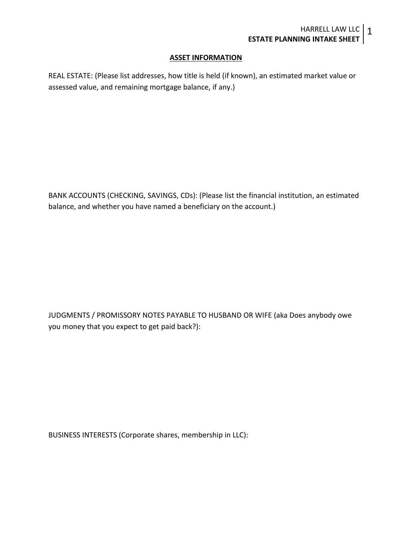## **ASSET INFORMATION**

REAL ESTATE: (Please list addresses, how title is held (if known), an estimated market value or assessed value, and remaining mortgage balance, if any.)

BANK ACCOUNTS (CHECKING, SAVINGS, CDs): (Please list the financial institution, an estimated balance, and whether you have named a beneficiary on the account.)

JUDGMENTS / PROMISSORY NOTES PAYABLE TO HUSBAND OR WIFE (aka Does anybody owe you money that you expect to get paid back?):

BUSINESS INTERESTS (Corporate shares, membership in LLC):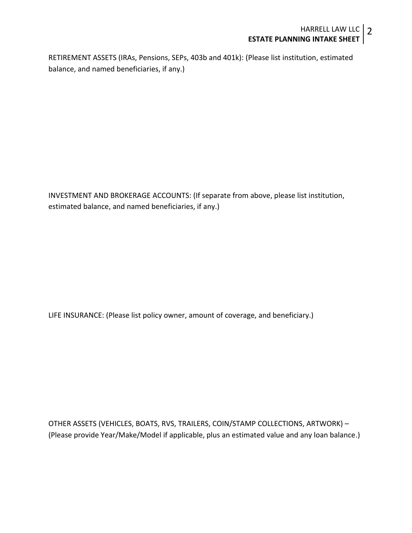RETIREMENT ASSETS (IRAs, Pensions, SEPs, 403b and 401k): (Please list institution, estimated balance, and named beneficiaries, if any.)

INVESTMENT AND BROKERAGE ACCOUNTS: (If separate from above, please list institution, estimated balance, and named beneficiaries, if any.)

LIFE INSURANCE: (Please list policy owner, amount of coverage, and beneficiary.)

OTHER ASSETS (VEHICLES, BOATS, RVS, TRAILERS, COIN/STAMP COLLECTIONS, ARTWORK) – (Please provide Year/Make/Model if applicable, plus an estimated value and any loan balance.)